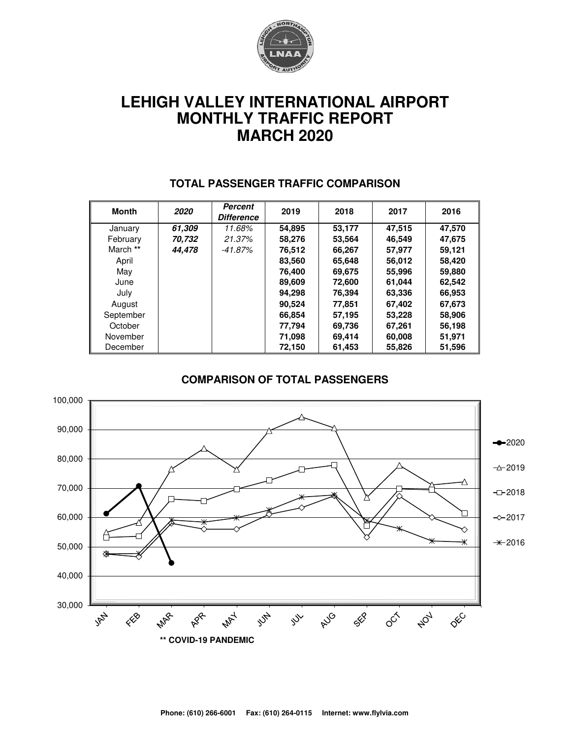

# **LEHIGH VALLEY INTERNATIONAL AIRPORT MONTHLY TRAFFIC REPORT MARCH 2020**

| <b>Month</b> | 2020   | Percent<br><b>Difference</b> | 2019   | 2018   | 2017   | 2016   |
|--------------|--------|------------------------------|--------|--------|--------|--------|
| January      | 61,309 | 11.68%                       | 54,895 | 53,177 | 47,515 | 47,570 |
| February     | 70.732 | 21.37%                       | 58,276 | 53,564 | 46,549 | 47,675 |
| March **     | 44.478 | $-41.87%$                    | 76,512 | 66,267 | 57,977 | 59,121 |
| April        |        |                              | 83,560 | 65,648 | 56,012 | 58,420 |
| May          |        |                              | 76,400 | 69,675 | 55,996 | 59,880 |
| June         |        |                              | 89,609 | 72,600 | 61,044 | 62,542 |
| July         |        |                              | 94,298 | 76,394 | 63,336 | 66,953 |
| August       |        |                              | 90,524 | 77,851 | 67,402 | 67,673 |
| September    |        |                              | 66,854 | 57,195 | 53,228 | 58,906 |
| October      |        |                              | 77,794 | 69,736 | 67,261 | 56,198 |
| November     |        |                              | 71,098 | 69,414 | 60,008 | 51,971 |
| December     |        |                              | 72,150 | 61,453 | 55,826 | 51,596 |

#### **TOTAL PASSENGER TRAFFIC COMPARISON**

#### **COMPARISON OF TOTAL PASSENGERS**

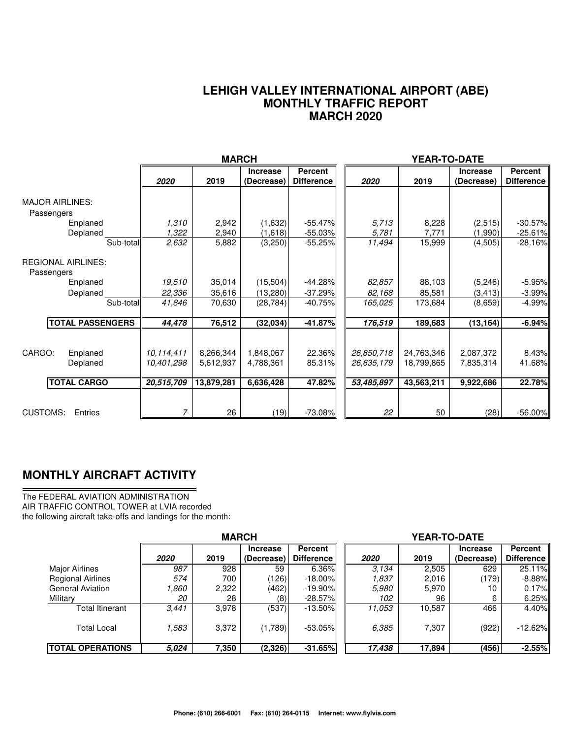#### **LEHIGH VALLEY INTERNATIONAL AIRPORT (ABE) MONTHLY TRAFFIC REPORT MARCH 2020**

|                                         |                | <b>MARCH</b>   |                               |                                     |                | <b>YEAR-TO-DATE</b> |                               |                                     |
|-----------------------------------------|----------------|----------------|-------------------------------|-------------------------------------|----------------|---------------------|-------------------------------|-------------------------------------|
|                                         | 2020           | 2019           | <b>Increase</b><br>(Decrease) | <b>Percent</b><br><b>Difference</b> | 2020           | 2019                | <b>Increase</b><br>(Decrease) | <b>Percent</b><br><b>Difference</b> |
| <b>MAJOR AIRLINES:</b><br>Passengers    |                |                |                               |                                     |                |                     |                               |                                     |
| Enplaned<br>Deplaned                    | 1,310<br>1,322 | 2,942<br>2,940 | (1,632)<br>(1,618)            | $-55.47\%$<br>$-55.03\%$            | 5.713<br>5,781 | 8,228<br>7,771      | (2,515)<br>(1,990)            | $-30.57%$<br>$-25.61%$              |
| Sub-total                               | 2,632          | 5,882          | (3,250)                       | $-55.25%$                           | 11,494         | 15,999              | (4,505)                       | $-28.16%$                           |
| <b>REGIONAL AIRLINES:</b><br>Passengers |                |                |                               |                                     |                |                     |                               |                                     |
| Enplaned                                | 19,510         | 35,014         | (15,504)                      | $-44.28%$                           | 82,857         | 88,103              | (5,246)                       | $-5.95%$                            |
| Deplaned                                | 22,336         | 35,616         | (13,280)                      | $-37.29%$                           | 82,168         | 85,581              | (3, 413)                      | $-3.99%$                            |
| Sub-total                               | 41,846         | 70,630         | (28, 784)                     | $-40.75%$                           | 165,025        | 173,684             | (8,659)                       | $-4.99%$                            |
| <b>TOTAL PASSENGERS</b>                 | 44,478         | 76,512         | (32,034)                      | $-41.87%$                           | 176,519        | 189,683             | (13, 164)                     | $-6.94%$                            |
| CARGO:                                  | 10.114.411     | 8,266,344      | 1,848,067                     | 22.36%                              | 26,850,718     | 24,763,346          | 2,087,372                     | 8.43%                               |
| Enplaned<br>Deplaned                    | 10,401,298     | 5,612,937      | 4,788,361                     | 85.31%                              | 26,635,179     | 18,799,865          | 7,835,314                     | 41.68%                              |
|                                         |                |                |                               |                                     |                |                     |                               |                                     |
| <b>TOTAL CARGO</b>                      | 20,515,709     | 13,879,281     | 6,636,428                     | 47.82%                              | 53,485,897     | 43.563,211          | 9,922,686                     | 22.78%                              |
|                                         |                |                |                               |                                     |                |                     |                               |                                     |
| <b>CUSTOMS:</b><br>Entries              |                | 26             | (19)                          | $-73.08%$                           | 22             | 50                  | (28)                          | $-56.00%$                           |

### **MONTHLY AIRCRAFT ACTIVITY**

The FEDERAL AVIATION ADMINISTRATION AIR TRAFFIC CONTROL TOWER at LVIA recorded the following aircraft take-offs and landings for the month:

|                          | <b>MARCH</b> |       |                 |                |  | <b>YEAR-TO-DATE</b> |        |                 |            |  |
|--------------------------|--------------|-------|-----------------|----------------|--|---------------------|--------|-----------------|------------|--|
|                          |              |       | <b>Increase</b> | <b>Percent</b> |  |                     |        | <b>Increase</b> | Percent    |  |
|                          | 2020         | 2019  | (Decrease)      | Difference I   |  | 2020                | 2019   | (Decrease)      | Difference |  |
| <b>Major Airlines</b>    | 987          | 928   | 59              | $6.36\%$       |  | 3.134               | 2,505  | 629             | 25.11%     |  |
| <b>Regional Airlines</b> | 574          | 700   | (126)           | $-18.00\%$     |  | 1.837               | 2,016  | (179)           | $-8.88\%$  |  |
| <b>General Aviation</b>  | 860.١        | 2,322 | (462)           | $-19.90\%$     |  | 5.980               | 5,970  | 10              | 0.17%      |  |
| Military                 | 20           | 28    | (8)             | $-28.57\%$     |  | 102                 | 96     | 6               | 6.25%      |  |
| Total Itinerant          | 3,441        | 3,978 | (537)           | $-13.50\%$     |  | 11.053              | 10,587 | 466             | 4.40%      |  |
| <b>Total Local</b>       | 583.         | 3,372 | (1,789)         | $-53.05\%$     |  | 6.385               | 7,307  | (922)           | $-12.62%$  |  |
| <b>ITOTAL OPERATIONS</b> | 5.024        | 7,350 | (2,326)         | $-31.65%$      |  | 17,438              | 17,894 | (456)           | $-2.55%$   |  |